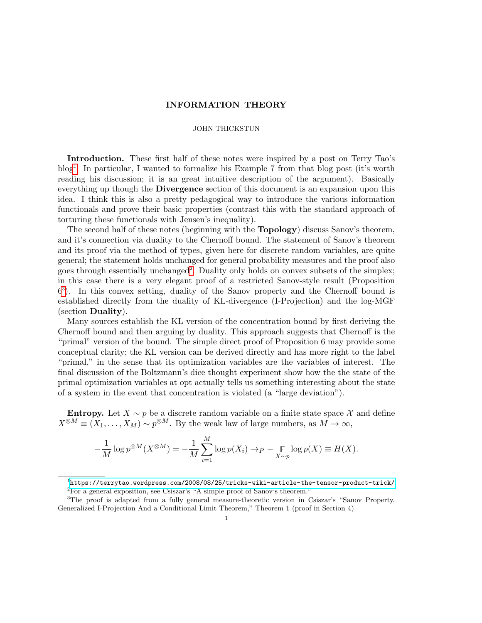# INFORMATION THEORY

# JOHN THICKSTUN

Introduction. These first half of these notes were inspired by a post on Terry Tao's blog[1](#page-0-0) . In particular, I wanted to formalize his Example 7 from that blog post (it's worth reading his discussion; it is an great intuitive description of the argument). Basically everything up though the **Divergence** section of this document is an expansion upon this idea. I think this is also a pretty pedagogical way to introduce the various information functionals and prove their basic properties (contrast this with the standard approach of torturing these functionals with Jensen's inequality).

The second half of these notes (beginning with the Topology) discuss Sanov's theorem, and it's connection via duality to the Chernoff bound. The statement of Sanov's theorem and its proof via the method of types, given here for discrete random variables, are quite general; the statement holds unchanged for general probability measures and the proof also goes through essentially unchanged<sup>[2](#page-0-1)</sup>. Duality only holds on convex subsets of the simplex; in this case there is a very elegant proof of a restricted Sanov-style result (Proposition 6 [3](#page-0-2) ). In this convex setting, duality of the Sanov property and the Chernoff bound is established directly from the duality of KL-divergence (I-Projection) and the log-MGF (section Duality).

Many sources establish the KL version of the concentration bound by first deriving the Chernoff bound and then arguing by duality. This approach suggests that Chernoff is the "primal" version of the bound. The simple direct proof of Proposition 6 may provide some conceptual clarity; the KL version can be derived directly and has more right to the label "primal," in the sense that its optimization variables are the variables of interest. The final discussion of the Boltzmann's dice thought experiment show how the the state of the primal optimization variables at opt actually tells us something interesting about the state of a system in the event that concentration is violated (a "large deviation").

Entropy. Let  $X \sim p$  be a discrete random variable on a finite state space X and define  $X^{\otimes M} \equiv (X_1, \ldots, X_M) \sim p^{\otimes M}$ . By the weak law of large numbers, as  $M \to \infty$ ,

$$
-\frac{1}{M}\log p^{\otimes M}(X^{\otimes M}) = -\frac{1}{M}\sum_{i=1}^{M}\log p(X_i) \to P - \underset{X \sim p}{\mathbb{E}}\log p(X) \equiv H(X).
$$

<span id="page-0-1"></span><span id="page-0-0"></span><sup>1</sup><https://terrytao.wordpress.com/2008/08/25/tricks-wiki-article-the-tensor-product-trick/> <sup>2</sup>For a general exposition, see Csiszar's "A simple proof of Sanov's theorem."

<span id="page-0-2"></span><sup>&</sup>lt;sup>3</sup>The proof is adapted from a fully general measure-theoretic version in Csiszar's "Sanov Property, Generalized I-Projection And a Conditional Limit Theorem," Theorem 1 (proof in Section 4)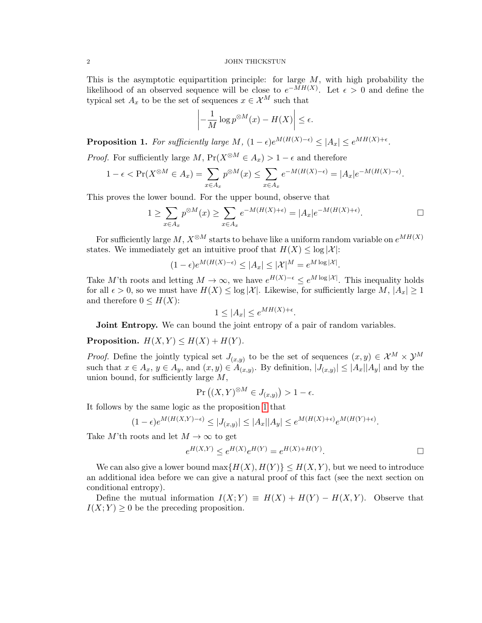## 2 JOHN THICKSTUN

This is the asymptotic equipartition principle: for large  $M$ , with high probability the likelihood of an observed sequence will be close to  $e^{-MH(X)}$ . Let  $\epsilon > 0$  and define the typical set  $A_x$  to be the set of sequences  $x \in \mathcal{X}^M$  such that

$$
\left| -\frac{1}{M} \log p^{\otimes M}(x) - H(X) \right| \le \epsilon.
$$

<span id="page-1-0"></span>**Proposition 1.** For sufficiently large M,  $(1 - \epsilon)e^{M(H(X) - \epsilon)} \leq |A_x| \leq e^{MH(X) + \epsilon}$ .

*Proof.* For sufficiently large M,  $Pr(X^{\otimes M} \in A_x) > 1 - \epsilon$  and therefore

$$
1 - \epsilon < \Pr(X^{\otimes M} \in A_x) = \sum_{x \in A_x} p^{\otimes M}(x) \le \sum_{x \in A_x} e^{-M(H(X) - \epsilon)} = |A_x| e^{-M(H(X) - \epsilon)}.
$$

This proves the lower bound. For the upper bound, observe that

$$
1 \ge \sum_{x \in A_x} p^{\otimes M}(x) \ge \sum_{x \in A_x} e^{-M(H(X) + \epsilon)} = |A_x| e^{-M(H(X) + \epsilon)}.
$$

.

For sufficiently large M,  $X^{\otimes M}$  starts to behave like a uniform random variable on  $e^{MH(X)}$ states. We immediately get an intuitive proof that  $H(X) \leq \log |\mathcal{X}|$ :

$$
(1 - \epsilon)e^{M(H(X) - \epsilon)} \le |A_x| \le |\mathcal{X}|^M = e^{M \log |\mathcal{X}|}.
$$

Take M'th roots and letting  $M \to \infty$ , we have  $e^{H(X)-\epsilon} \leq e^{M \log |\mathcal{X}|}$ . This inequality holds for all  $\epsilon > 0$ , so we must have  $H(X) \leq \log |\mathcal{X}|$ . Likewise, for sufficiently large  $M, |A_x| \geq 1$ and therefore  $0 \leq H(X)$ :

$$
1 \le |A_x| \le e^{MH(X) + \epsilon}
$$

**Joint Entropy.** We can bound the joint entropy of a pair of random variables.

Proposition.  $H(X,Y) \leq H(X) + H(Y)$ .

*Proof.* Define the jointly typical set  $J_{(x,y)}$  to be the set of sequences  $(x, y) \in \mathcal{X}^M \times \mathcal{Y}^M$ such that  $x \in A_x$ ,  $y \in A_y$ , and  $(x, y) \in A_{(x,y)}$ . By definition,  $|J_{(x,y)}| \leq |A_x||A_y|$  and by the union bound, for sufficiently large  $M$ ,

$$
\Pr\left((X,Y)^{\otimes M} \in J_{(x,y)}\right) > 1 - \epsilon.
$$

It follows by the same logic as the proposition [1](#page-1-0) that

$$
(1-\epsilon)e^{M(H(X,Y)-\epsilon)} \le |J_{(x,y)}| \le |A_x||A_y| \le e^{M(H(X)+\epsilon)}e^{M(H(Y)+\epsilon)}.
$$

Take M'th roots and let  $M \to \infty$  to get

$$
e^{H(X,Y)} \le e^{H(X)} e^{H(Y)} = e^{H(X) + H(Y)}.
$$

We can also give a lower bound  $\max\{H(X), H(Y)\} \leq H(X, Y)$ , but we need to introduce an additional idea before we can give a natural proof of this fact (see the next section on conditional entropy).

Define the mutual information  $I(X;Y) \equiv H(X) + H(Y) - H(X,Y)$ . Observe that  $I(X; Y) \geq 0$  be the preceding proposition.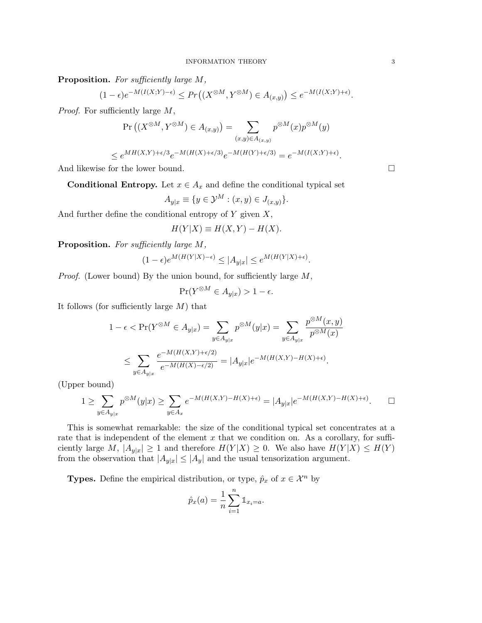Proposition. For sufficiently large M,

$$
(1-\epsilon)e^{-M(I(X;Y)-\epsilon)}\leq Pr\left((X^{\otimes M},Y^{\otimes M})\in A_{(x,y)}\right)\leq e^{-M(I(X;Y)+\epsilon)}.
$$

Proof. For sufficiently large M,

$$
\Pr\left((X^{\otimes M}, Y^{\otimes M}) \in A_{(x,y)}\right) = \sum_{(x,y)\in A_{(x,y)}} p^{\otimes M}(x) p^{\otimes M}(y)
$$
  

$$
\leq e^{MH(X,Y)+\epsilon/3} e^{-M(H(X)+\epsilon/3)} e^{-M(H(Y)+\epsilon/3)} = e^{-M(I(X,Y)+\epsilon)}.
$$

And likewise for the lower bound.

**Conditional Entropy.** Let  $x \in A_x$  and define the conditional typical set

$$
A_{y|x} \equiv \{ y \in \mathcal{Y}^M : (x, y) \in J_{(x,y)} \}.
$$

And further define the conditional entropy of  $Y$  given  $X$ ,

$$
H(Y|X) \equiv H(X,Y) - H(X).
$$

Proposition. For sufficiently large M,

$$
(1-\epsilon)e^{M(H(Y|X)-\epsilon)}\leq |A_{y|x}|\leq e^{M(H(Y|X)+\epsilon)}.
$$

Proof. (Lower bound) By the union bound, for sufficiently large  $M$ ,

$$
\Pr(Y^{\otimes M} \in A_{y|x}) > 1 - \epsilon.
$$

It follows (for sufficiently large  $M$ ) that

$$
1 - \epsilon < \Pr(Y^{\otimes M} \in A_{y|x}) = \sum_{y \in A_{y|x}} p^{\otimes M}(y|x) = \sum_{y \in A_{y|x}} \frac{p^{\otimes M}(x, y)}{p^{\otimes M}(x)}
$$
\n
$$
\leq \sum_{y \in A_{y|x}} \frac{e^{-M(H(X, Y) + \epsilon/2)}}{e^{-M(H(X) - \epsilon/2)}} = |A_{y|x}|e^{-M(H(X, Y) - H(X) + \epsilon)}.
$$

(Upper bound)

$$
1 \geq \sum_{y \in A_{y|x}} p^{\otimes M}(y|x) \geq \sum_{y \in A_x} e^{-M(H(X,Y) - H(X) + \epsilon)} = |A_{y|x}| e^{-M(H(X,Y) - H(X) + \epsilon)}.
$$

This is somewhat remarkable: the size of the conditional typical set concentrates at a rate that is independent of the element  $x$  that we condition on. As a corollary, for sufficiently large M,  $|A_{y|x}| \ge 1$  and therefore  $H(Y|X) \ge 0$ . We also have  $H(Y|X) \le H(Y)$ from the observation that  $|A_{y|x}| \leq |A_y|$  and the usual tensorization argument.

**Types.** Define the empirical distribution, or type,  $\hat{p}_x$  of  $x \in \mathcal{X}^n$  by

$$
\hat{p}_x(a) = \frac{1}{n} \sum_{i=1}^n \mathbb{1}_{x_i = a}.
$$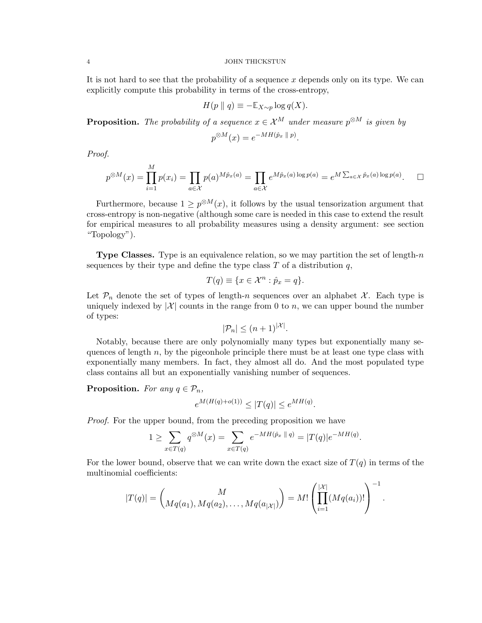## 4 JOHN THICKSTUN

It is not hard to see that the probability of a sequence x depends only on its type. We can explicitly compute this probability in terms of the cross-entropy,

$$
H(p \parallel q) \equiv -\mathbb{E}_{X \sim p} \log q(X).
$$

**Proposition.** The probability of a sequence  $x \in \mathcal{X}^M$  under measure  $p^{\otimes M}$  is given by

$$
p^{\otimes M}(x) = e^{-MH(\hat{p}_x \parallel p)}
$$

Proof.

$$
p^{\otimes M}(x) = \prod_{i=1}^{M} p(x_i) = \prod_{a \in \mathcal{X}} p(a)^{M\hat{p}_x(a)} = \prod_{a \in \mathcal{X}} e^{M\hat{p}_x(a) \log p(a)} = e^{M \sum_{a \in \mathcal{X}} \hat{p}_x(a) \log p(a)}.
$$

.

Furthermore, because  $1 \geq p^{\otimes M}(x)$ , it follows by the usual tensorization argument that cross-entropy is non-negative (although some care is needed in this case to extend the result for empirical measures to all probability measures using a density argument: see section "Topology").

**Type Classes.** Type is an equivalence relation, so we may partition the set of length-n sequences by their type and define the type class  $T$  of a distribution  $q$ ,

$$
T(q) \equiv \{ x \in \mathcal{X}^n : \hat{p}_x = q \}.
$$

Let  $\mathcal{P}_n$  denote the set of types of length-n sequences over an alphabet X. Each type is uniquely indexed by  $|\mathcal{X}|$  counts in the range from 0 to n, we can upper bound the number of types:

$$
|\mathcal{P}_n| \le (n+1)^{|\mathcal{X}|}.
$$

Notably, because there are only polynomially many types but exponentially many sequences of length  $n$ , by the pigeonhole principle there must be at least one type class with exponentially many members. In fact, they almost all do. And the most populated type class contains all but an exponentially vanishing number of sequences.

**Proposition.** For any  $q \in \mathcal{P}_n$ ,

$$
e^{M(H(q) + o(1))} \le |T(q)| \le e^{MH(q)}.
$$

Proof. For the upper bound, from the preceding proposition we have

$$
1 \geq \sum_{x \in T(q)} q^{\otimes M}(x) = \sum_{x \in T(q)} e^{-MH(\hat{p}_x \parallel q)} = |T(q)|e^{-MH(q)}.
$$

For the lower bound, observe that we can write down the exact size of  $T(q)$  in terms of the multinomial coefficients:

$$
|T(q)| = {M \choose Mq(a_1), Mq(a_2), \ldots, Mq(a_{|\mathcal{X}|})} = M! \left(\prod_{i=1}^{|\mathcal{X}|} (Mq(a_i))!\right)^{-1}.
$$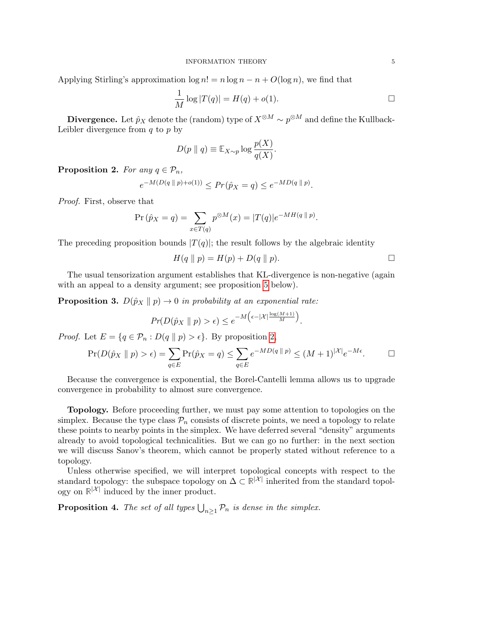Applying Stirling's approximation  $\log n! = n \log n - n + O(\log n)$ , we find that

$$
\frac{1}{M}\log|T(q)| = H(q) + o(1).
$$

Divergence. Let  $\hat{p}_X$  denote the (random) type of  $X^{\otimes M}\sim p^{\otimes M}$  and define the Kullback-Leibler divergence from  $q$  to  $p$  by

$$
D(p \parallel q) \equiv \mathbb{E}_{X \sim p} \log \frac{p(X)}{q(X)}.
$$

<span id="page-4-0"></span>**Proposition 2.** For any  $q \in \mathcal{P}_n$ ,

$$
e^{-M(D(q \| p)+o(1))} \le Pr(\hat{p}_X = q) \le e^{-MD(q \| p)}.
$$

Proof. First, observe that

$$
\Pr(\hat{p}_X = q) = \sum_{x \in T(q)} p^{\otimes M}(x) = |T(q)|e^{-MH(q || p)}.
$$

The preceding proposition bounds  $|T(q)|$ ; the result follows by the algebraic identity

$$
H(q \parallel p) = H(p) + D(q \parallel p).
$$

The usual tensorization argument establishes that KL-divergence is non-negative (again with an appeal to a density argument; see proposition [5](#page-5-0) below).

<span id="page-4-1"></span>**Proposition 3.**  $D(\hat{p}_X \parallel p) \rightarrow 0$  in probability at an exponential rate:

$$
Pr(D(\hat{p}_X \parallel p) > \epsilon) \leq e^{-M\left(\epsilon - |\mathcal{X}| \frac{\log(M+1)}{M}\right)}.
$$

*Proof.* Let  $E = \{q \in \mathcal{P}_n : D(q || p) > \epsilon\}$ . By proposition [2,](#page-4-0)

$$
\Pr(D(\hat{p}_X \parallel p) > \epsilon) = \sum_{q \in E} \Pr(\hat{p}_X = q) \le \sum_{q \in E} e^{-MD(q \parallel p)} \le (M+1)^{|\mathcal{X}|} e^{-M\epsilon}.
$$

Because the convergence is exponential, the Borel-Cantelli lemma allows us to upgrade convergence in probability to almost sure convergence.

Topology. Before proceeding further, we must pay some attention to topologies on the simplex. Because the type class  $\mathcal{P}_n$  consists of discrete points, we need a topology to relate these points to nearby points in the simplex. We have deferred several "density" arguments already to avoid topological technicalities. But we can go no further: in the next section we will discuss Sanov's theorem, which cannot be properly stated without reference to a topology.

Unless otherwise specified, we will interpret topological concepts with respect to the standard topology: the subspace topology on  $\Delta \subset \mathbb{R}^{|\mathcal{X}|}$  inherited from the standard topology on  $\mathbb{R}^{|\mathcal{X}|}$  induced by the inner product.

<span id="page-4-2"></span>**Proposition 4.** The set of all types  $\bigcup_{n\geq 1} \mathcal{P}_n$  is dense in the simplex.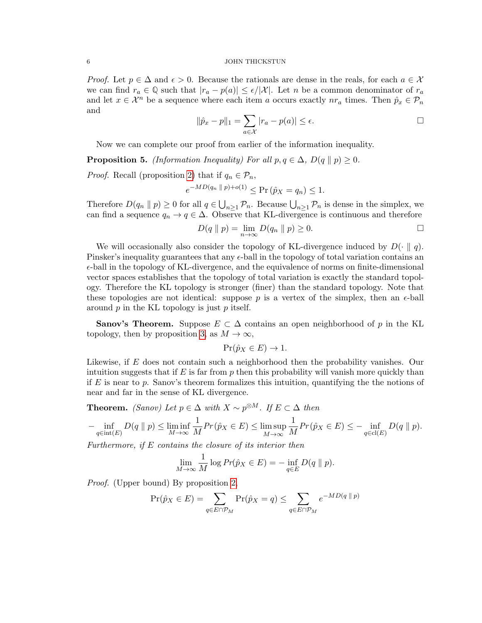## 6 JOHN THICKSTUN

*Proof.* Let  $p \in \Delta$  and  $\epsilon > 0$ . Because the rationals are dense in the reals, for each  $a \in \mathcal{X}$ we can find  $r_a \in \mathbb{Q}$  such that  $|r_a - p(a)| \leq \epsilon/|\mathcal{X}|$ . Let n be a common denominator of  $r_a$ and let  $x \in \mathcal{X}^n$  be a sequence where each item a occurs exactly  $nr_a$  times. Then  $\hat{p}_x \in \mathcal{P}_n$ and

$$
\|\hat{p}_x - p\|_1 = \sum_{a \in \mathcal{X}} |r_a - p(a)| \le \epsilon.
$$

Now we can complete our proof from earlier of the information inequality.

<span id="page-5-0"></span>**Proposition 5.** (Information Inequality) For all  $p, q \in \Delta$ ,  $D(q || p) \geq 0$ .

*Proof.* Recall (proposition [2\)](#page-4-0) that if  $q_n \in \mathcal{P}_n$ ,

$$
e^{-MD(q_n \| p) + o(1)} \le \Pr(\hat{p}_X = q_n) \le 1.
$$

Therefore  $D(q_n \parallel p) \ge 0$  for all  $q \in \bigcup_{n \ge 1} \mathcal{P}_n$ . Because  $\bigcup_{n \ge 1} \mathcal{P}_n$  is dense in the simplex, we can find a sequence  $q_n \to q \in \Delta$ . Observe that KL-divergence is continuous and therefore

$$
D(q \| p) = \lim_{n \to \infty} D(q_n \| p) \ge 0.
$$

We will occasionally also consider the topology of KL-divergence induced by  $D(\cdot \parallel q)$ . Pinsker's inequality guarantees that any  $\epsilon$ -ball in the topology of total variation contains an  $\epsilon$ -ball in the topology of KL-divergence, and the equivalence of norms on finite-dimensional vector spaces establishes that the topology of total variation is exactly the standard topology. Therefore the KL topology is stronger (finer) than the standard topology. Note that these topologies are not identical: suppose  $p$  is a vertex of the simplex, then an  $\epsilon$ -ball around  $p$  in the KL topology is just  $p$  itself.

**Sanov's Theorem.** Suppose  $E \subset \Delta$  contains an open neighborhood of p in the KL topology, then by proposition [3,](#page-4-1) as  $M \to \infty$ ,

$$
\Pr(\hat{p}_X \in E) \to 1.
$$

Likewise, if E does not contain such a neighborhood then the probability vanishes. Our intuition suggests that if  $E$  is far from p then this probability will vanish more quickly than if E is near to p. Sanov's theorem formalizes this intuition, quantifying the the notions of near and far in the sense of KL divergence.

**Theorem.** *(Sanov)* Let  $p \in \Delta$  with  $X \sim p^{\otimes M}$ . If  $E \subset \Delta$  then

$$
-\inf_{q\in\text{int}(E)} D(q \parallel p) \le \liminf_{M\to\infty} \frac{1}{M} Pr(\hat{p}_X \in E) \le \limsup_{M\to\infty} \frac{1}{M} Pr(\hat{p}_X \in E) \le -\inf_{q\in\text{cl}(E)} D(q \parallel p).
$$

Furthermore, if  $E$  contains the closure of its interior then

$$
\lim_{M \to \infty} \frac{1}{M} \log Pr(\hat{p}_X \in E) = - \inf_{q \in E} D(q \parallel p).
$$

Proof. (Upper bound) By proposition [2,](#page-4-0)

$$
\Pr(\hat{p}_X \in E) = \sum_{q \in E \cap \mathcal{P}_M} \Pr(\hat{p}_X = q) \le \sum_{q \in E \cap \mathcal{P}_M} e^{-MD(q \parallel p)}
$$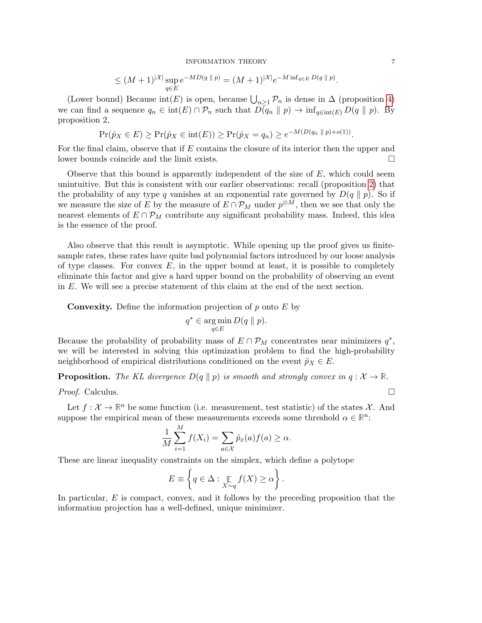$$
\leq (M+1)^{|{\mathcal{X}}|} \sup_{q \in E} e^{-MD(q \, || \, p)} = (M+1)^{|{\mathcal{X}}|} e^{-M \inf_{q \in E} D(q \, || \, p)}.
$$

(Lower bound) Because  $\text{int}(E)$  is open, because  $\bigcup_{n\geq 1} \mathcal{P}_n$  is dense in  $\Delta$  (proposition [4\)](#page-4-2) we can find a sequence  $q_n \in \text{int}(E) \cap \mathcal{P}_n$  such that  $D(q_n || p) \to \text{inf}_{q \in \text{int}(E)} D(q || p)$ . By proposition 2,

$$
\Pr(\hat{p}_X \in E) \ge \Pr(\hat{p}_X \in \text{int}(E)) \ge \Pr(\hat{p}_X = q_n) \ge e^{-M(D(q_n \parallel p) + o(1))}.
$$

For the final claim, observe that if E contains the closure of its interior then the upper and lower bounds coincide and the limit exists.

Observe that this bound is apparently independent of the size of  $E$ , which could seem unintuitive. But this is consistent with our earlier observations: recall (proposition [2\)](#page-4-0) that the probability of any type q vanishes at an exponential rate governed by  $D(q \parallel p)$ . So if we measure the size of E by the measure of  $E \cap \mathcal{P}_M$  under  $p^{\otimes M}$ , then we see that only the nearest elements of  $E \cap \mathcal{P}_M$  contribute any significant probability mass. Indeed, this idea is the essence of the proof.

Also observe that this result is asymptotic. While opening up the proof gives us finitesample rates, these rates have quite bad polynomial factors introduced by our loose analysis of type classes. For convex  $E$ , in the upper bound at least, it is possible to completely eliminate this factor and give a hard upper bound on the probability of observing an event in E. We will see a precise statement of this claim at the end of the next section.

**Convexity.** Define the information projection of  $p$  onto  $E$  by

$$
q^* \in \operatorname*{arg\,min}_{q \in E} D(q \parallel p).
$$

Because the probability of probability mass of  $E \cap \mathcal{P}_M$  concentrates near minimizers  $q^*$ , we will be interested in solving this optimization problem to find the high-probability neighborhood of empirical distributions conditioned on the event  $\hat{p}_X \in E$ .

**Proposition.** The KL divergence  $D(q \parallel p)$  is smooth and strongly convex in  $q : \mathcal{X} \to \mathbb{R}$ .

*Proof.* Calculus.  $\Box$ 

Let  $f: \mathcal{X} \to \mathbb{R}^n$  be some function (i.e. measurement, test statistic) of the states  $\mathcal{X}$ . And suppose the empirical mean of these measurements exceeds some threshold  $\alpha \in \mathbb{R}^n$ :

$$
\frac{1}{M}\sum_{i=1}^{M}f(X_i) = \sum_{a\in\mathcal{X}}\hat{p}_x(a)f(a) \geq \alpha.
$$

These are linear inequality constraints on the simplex, which define a polytope

$$
E \equiv \left\{ q \in \Delta : \underset{X \sim q}{\mathbb{E}} f(X) \ge \alpha \right\}.
$$

In particular, E is compact, convex, and it follows by the preceding proposition that the information projection has a well-defined, unique minimizer.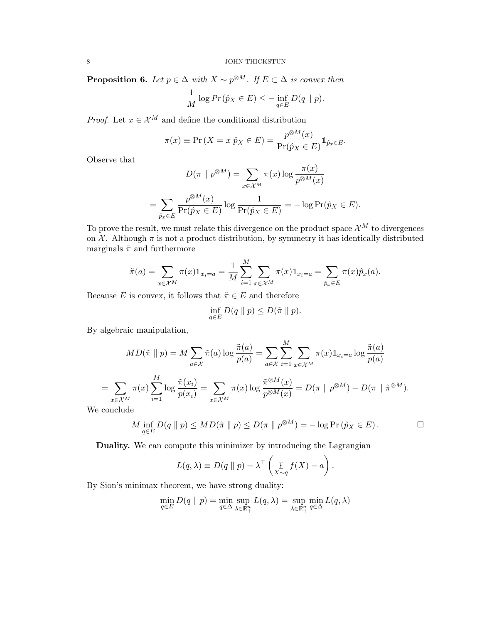<span id="page-7-0"></span>**Proposition 6.** Let  $p \in \Delta$  with  $X \sim p^{\otimes M}$ . If  $E \subset \Delta$  is convex then

$$
\frac{1}{M}\log Pr(\hat{p}_X \in E) \le -\inf_{q \in E} D(q \parallel p).
$$

*Proof.* Let  $x \in \mathcal{X}^M$  and define the conditional distribution

$$
\pi(x) \equiv \Pr\left(X = x | \hat{p}_X \in E\right) = \frac{p^{\otimes M}(x)}{\Pr(\hat{p}_X \in E)} \mathbb{1}_{\hat{p}_x \in E}.
$$

Observe that

$$
D(\pi \parallel p^{\otimes M}) = \sum_{x \in \mathcal{X}^M} \pi(x) \log \frac{\pi(x)}{p^{\otimes M}(x)}
$$

$$
= \sum_{\hat{p}_x \in E} \frac{p^{\otimes M}(x)}{\Pr(\hat{p}_X \in E)} \log \frac{1}{\Pr(\hat{p}_X \in E)} = -\log \Pr(\hat{p}_X \in E).
$$

To prove the result, we must relate this divergence on the product space  $\mathcal{X}^M$  to divergences on  $\mathcal X$ . Although  $\pi$  is not a product distribution, by symmetry it has identically distributed marginals  $\tilde{\pi}$  and furthermore

$$
\tilde{\pi}(a) = \sum_{x \in \mathcal{X}^M} \pi(x) \mathbb{1}_{x_i = a} = \frac{1}{M} \sum_{i=1}^M \sum_{x \in \mathcal{X}^M} \pi(x) \mathbb{1}_{x_i = a} = \sum_{\hat{p}_x \in E} \pi(x) \hat{p}_x(a).
$$

M

Because E is convex, it follows that  $\tilde{\pi} \in E$  and therefore

$$
\inf_{q\in E} D(q \| p) \le D(\tilde{\pi} \| p).
$$

By algebraic manipulation,

$$
MD(\tilde{\pi} \parallel p) = M \sum_{a \in \mathcal{X}} \tilde{\pi}(a) \log \frac{\tilde{\pi}(a)}{p(a)} = \sum_{a \in \mathcal{X}} \sum_{i=1}^{M} \sum_{x \in \mathcal{X}^M} \pi(x) \mathbb{1}_{x_i = a} \log \frac{\tilde{\pi}(a)}{p(a)}
$$

$$
= \sum_{x \in \mathcal{X}^M} \pi(x) \sum_{i=1}^{M} \log \frac{\tilde{\pi}(x_i)}{p(x_i)} = \sum_{x \in \mathcal{X}^M} \pi(x) \log \frac{\tilde{\pi}^{\otimes M}(x)}{p^{\otimes M}(x)} = D(\pi \parallel p^{\otimes M}) - D(\pi \parallel \tilde{\pi}^{\otimes M}).
$$

We conclude

$$
M \inf_{q \in E} D(q \parallel p) \leq MD(\tilde{\pi} \parallel p) \leq D(\pi \parallel p^{\otimes M}) = -\log \Pr(\hat{p}_X \in E).
$$

Duality. We can compute this minimizer by introducing the Lagrangian

$$
L(q, \lambda) \equiv D(q \parallel p) - \lambda^{\top} \left( \mathop{\mathbb{E}}_{X \sim q} f(X) - a \right).
$$

By Sion's minimax theorem, we have strong duality:

$$
\min_{q \in E} D(q \parallel p) = \min_{q \in \Delta} \sup_{\lambda \in \mathbb{R}_+^n} L(q, \lambda) = \sup_{\lambda \in \mathbb{R}_+^n} \min_{q \in \Delta} L(q, \lambda)
$$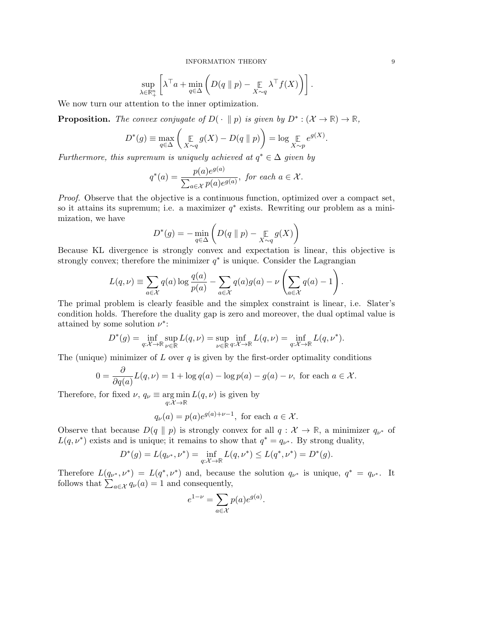$$
\sup_{\lambda \in \mathbb{R}^n_+} \left[ \lambda^\top a + \min_{q \in \Delta} \left( D(q \parallel p) - \underset{X \sim q}{\mathbb{E}} \lambda^\top f(X) \right) \right].
$$

We now turn our attention to the inner optimization.

**Proposition.** The convex conjugate of  $D(\cdot \parallel p)$  is given by  $D^* : (\mathcal{X} \to \mathbb{R}) \to \mathbb{R}$ ,

$$
D^*(g) \equiv \max_{q \in \Delta} \left( \mathop{\mathbb{E}}_{X \sim q} g(X) - D(q \parallel p) \right) = \log \mathop{\mathbb{E}}_{X \sim p} e^{g(X)}.
$$

Furthermore, this supremum is uniquely achieved at  $q^* \in \Delta$  given by

$$
q^*(a) = \frac{p(a)e^{g(a)}}{\sum_{a \in \mathcal{X}} p(a)e^{g(a)}}, \text{ for each } a \in \mathcal{X}.
$$

Proof. Observe that the objective is a continuous function, optimized over a compact set, so it attains its supremum; i.e. a maximizer  $q^*$  exists. Rewriting our problem as a minimization, we have

$$
D^*(g) = -\min_{q \in \Delta} \left( D(q \parallel p) - \mathop{\mathbb{E}}_{X \sim q} g(X) \right)
$$

Because KL divergence is strongly convex and expectation is linear, this objective is strongly convex; therefore the minimizer  $q^*$  is unique. Consider the Lagrangian

$$
L(q,\nu) \equiv \sum_{a \in \mathcal{X}} q(a) \log \frac{q(a)}{p(a)} - \sum_{a \in \mathcal{X}} q(a)g(a) - \nu \left( \sum_{a \in \mathcal{X}} q(a) - 1 \right).
$$

The primal problem is clearly feasible and the simplex constraint is linear, i.e. Slater's condition holds. Therefore the duality gap is zero and moreover, the dual optimal value is attained by some solution  $\nu^*$ :

$$
D^*(g) = \inf_{q:\mathcal{X}\to\mathbb{R}} \sup_{\nu\in\mathbb{R}} L(q,\nu) = \sup_{\nu\in\mathbb{R}} \inf_{q:\mathcal{X}\to\mathbb{R}} L(q,\nu) = \inf_{q:\mathcal{X}\to\mathbb{R}} L(q,\nu^*).
$$

The (unique) minimizer of L over  $q$  is given by the first-order optimality conditions

$$
0 = \frac{\partial}{\partial q(a)} L(q, \nu) = 1 + \log q(a) - \log p(a) - g(a) - \nu, \text{ for each } a \in \mathcal{X}.
$$

Therefore, for fixed  $\nu$ ,  $q_{\nu} \equiv \argmin_{q: \mathcal{X} \to \mathbb{R}}$  $L(q,\nu)$  is given by

$$
q_{\nu}(a) = p(a)e^{g(a)+\nu-1}
$$
, for each  $a \in \mathcal{X}$ .

Observe that because  $D(q \parallel p)$  is strongly convex for all  $q : \mathcal{X} \to \mathbb{R}$ , a minimizer  $q_{\nu^*}$  of  $L(q, \nu^*)$  exists and is unique; it remains to show that  $q^* = q_{\nu^*}$ . By strong duality,

$$
D^*(g) = L(q_{\nu^*}, \nu^*) = \inf_{q: \mathcal{X} \to \mathbb{R}} L(q, \nu^*) \le L(q^*, \nu^*) = D^*(g).
$$

Therefore  $L(q_{\nu^*}, \nu^*) = L(q^*, \nu^*)$  and, because the solution  $q_{\nu^*}$  is unique,  $q^* = q_{\nu^*}$ . It follows that  $\sum_{a \in \mathcal{X}} q_{\nu}(a) = 1$  and consequently,

$$
e^{1-\nu} = \sum_{a \in \mathcal{X}} p(a)e^{g(a)}.
$$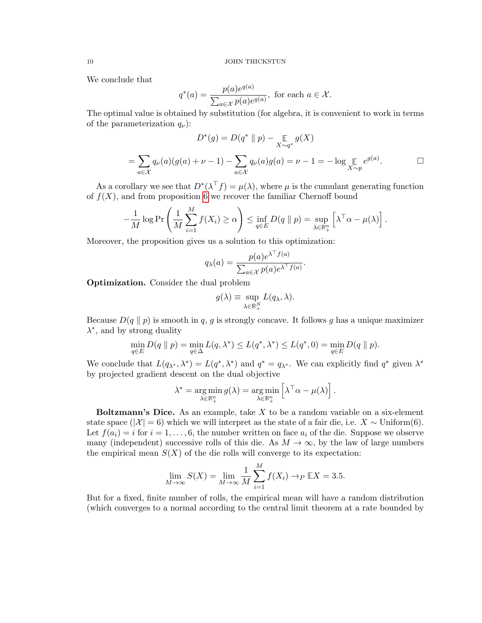We conclude that

$$
q^*(a) = \frac{p(a)e^{g(a)}}{\sum_{a \in \mathcal{X}} p(a)e^{g(a)}}, \text{ for each } a \in \mathcal{X}.
$$

The optimal value is obtained by substitution (for algebra, it is convenient to work in terms of the parameterization  $q_{\nu}$ :

$$
D^*(g) = D(q^* \parallel p) - \mathop{\mathbb{E}}_{X \sim q^*} g(X)
$$
  
= 
$$
\sum_{a \in \mathcal{X}} q_{\nu}(a)(g(a) + \nu - 1) - \sum_{a \in \mathcal{X}} q_{\nu}(a)g(a) = \nu - 1 = -\log \mathop{\mathbb{E}}_{X \sim p} e^{g(a)}.
$$

As a corollary we see that  $D^*(\lambda^\top f) = \mu(\lambda)$ , where  $\mu$  is the cumulant generating function of  $f(X)$ , and from proposition [6](#page-7-0) we recover the familiar Chernoff bound

$$
-\frac{1}{M}\log \Pr\left(\frac{1}{M}\sum_{i=1}^M f(X_i) \ge \alpha\right) \le \inf_{q\in E} D(q \| p) = \sup_{\lambda \in \mathbb{R}^n_+} \left[\lambda^\top \alpha - \mu(\lambda)\right].
$$

Moreover, the proposition gives us a solution to this optimization:

$$
q_{\lambda}(a) = \frac{p(a)e^{\lambda^{\top}f(a)}}{\sum_{a \in \mathcal{X}} p(a)e^{\lambda^{\top}f(a)}}.
$$

Optimization. Consider the dual problem

$$
g(\lambda) \equiv \sup_{\lambda \in \mathbb{R}^N_+} L(q_\lambda, \lambda).
$$

Because  $D(q \parallel p)$  is smooth in q, g is strongly concave. It follows g has a unique maximizer  $\lambda^*$ , and by strong duality

$$
\min_{q \in E} D(q \parallel p) = \min_{q \in \Delta} L(q, \lambda^*) \le L(q^*, \lambda^*) \le L(q^*, 0) = \min_{q \in E} D(q \parallel p).
$$

We conclude that  $L(q_{\lambda^*}, \lambda^*) = L(q^*, \lambda^*)$  and  $q^* = q_{\lambda^*}$ . We can explicitly find  $q^*$  given  $\lambda^*$ by projected gradient descent on the dual objective

$$
\lambda^* = \underset{\lambda \in \mathbb{R}_+^n}{\arg \min} g(\lambda) = \underset{\lambda \in \mathbb{R}_+^n}{\arg \min} \left[ \lambda^\top \alpha - \mu(\lambda) \right].
$$

**Boltzmann's Dice.** As an example, take  $X$  to be a random variable on a six-element state space ( $|\mathcal{X}| = 6$ ) which we will interpret as the state of a fair die, i.e.  $X \sim \text{Uniform}(6)$ . Let  $f(a_i) = i$  for  $i = 1, \ldots, 6$ , the number written on face  $a_i$  of the die. Suppose we observe many (independent) successive rolls of this die. As  $M \to \infty$ , by the law of large numbers the empirical mean  $S(X)$  of the die rolls will converge to its expectation:

$$
\lim_{M \to \infty} S(X) = \lim_{M \to \infty} \frac{1}{M} \sum_{i=1}^{M} f(X_i) \to_P \mathbb{E}X = 3.5.
$$

But for a fixed, finite number of rolls, the empirical mean will have a random distribution (which converges to a normal according to the central limit theorem at a rate bounded by